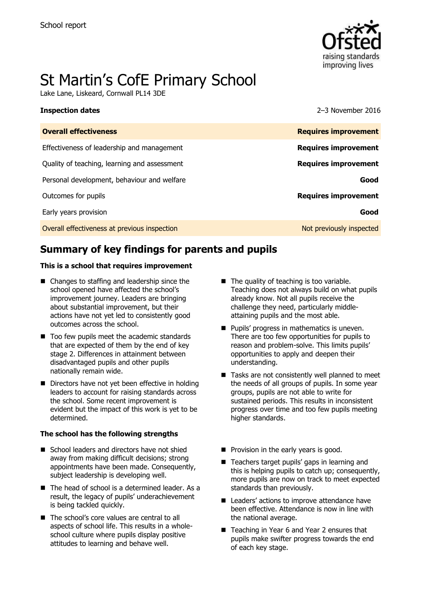

# St Martin's CofE Primary School

Lake Lane, Liskeard, Cornwall PL14 3DE

**Inspection dates** 2016

| <b>Overall effectiveness</b>                 | <b>Requires improvement</b> |
|----------------------------------------------|-----------------------------|
| Effectiveness of leadership and management   | <b>Requires improvement</b> |
| Quality of teaching, learning and assessment | <b>Requires improvement</b> |
| Personal development, behaviour and welfare  | Good                        |
| Outcomes for pupils                          | <b>Requires improvement</b> |
| Early years provision                        | Good                        |
| Overall effectiveness at previous inspection | Not previously inspected    |
|                                              |                             |

# **Summary of key findings for parents and pupils**

### **This is a school that requires improvement**

- Changes to staffing and leadership since the school opened have affected the school's improvement journey. Leaders are bringing about substantial improvement, but their actions have not yet led to consistently good outcomes across the school.
- Too few pupils meet the academic standards that are expected of them by the end of key stage 2. Differences in attainment between disadvantaged pupils and other pupils nationally remain wide.
- Directors have not yet been effective in holding leaders to account for raising standards across the school. Some recent improvement is evident but the impact of this work is yet to be determined.

### **The school has the following strengths**

- School leaders and directors have not shied away from making difficult decisions; strong appointments have been made. Consequently, subject leadership is developing well.
- The head of school is a determined leader. As a result, the legacy of pupils' underachievement is being tackled quickly.
- The school's core values are central to all aspects of school life. This results in a wholeschool culture where pupils display positive attitudes to learning and behave well.
- $\blacksquare$  The quality of teaching is too variable. Teaching does not always build on what pupils already know. Not all pupils receive the challenge they need, particularly middleattaining pupils and the most able.
- **Pupils' progress in mathematics is uneven.** There are too few opportunities for pupils to reason and problem-solve. This limits pupils' opportunities to apply and deepen their understanding.
- Tasks are not consistently well planned to meet the needs of all groups of pupils. In some year groups, pupils are not able to write for sustained periods. This results in inconsistent progress over time and too few pupils meeting higher standards.
- **Provision in the early years is good.**
- Teachers target pupils' gaps in learning and this is helping pupils to catch up; consequently, more pupils are now on track to meet expected standards than previously.
- Leaders' actions to improve attendance have been effective. Attendance is now in line with the national average.
- Teaching in Year 6 and Year 2 ensures that pupils make swifter progress towards the end of each key stage.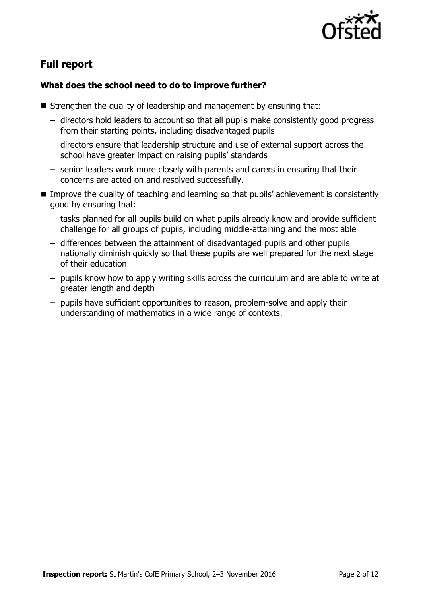

# **Full report**

### **What does the school need to do to improve further?**

- Strengthen the quality of leadership and management by ensuring that:
	- directors hold leaders to account so that all pupils make consistently good progress from their starting points, including disadvantaged pupils
	- directors ensure that leadership structure and use of external support across the school have greater impact on raising pupils' standards
	- senior leaders work more closely with parents and carers in ensuring that their concerns are acted on and resolved successfully.
- **IMPROVE THE QUALITY OF TEACHT AND READLER** in the straining so that pupils' achievement is consistently good by ensuring that:
	- tasks planned for all pupils build on what pupils already know and provide sufficient challenge for all groups of pupils, including middle-attaining and the most able
	- differences between the attainment of disadvantaged pupils and other pupils nationally diminish quickly so that these pupils are well prepared for the next stage of their education
	- pupils know how to apply writing skills across the curriculum and are able to write at greater length and depth
	- pupils have sufficient opportunities to reason, problem-solve and apply their understanding of mathematics in a wide range of contexts.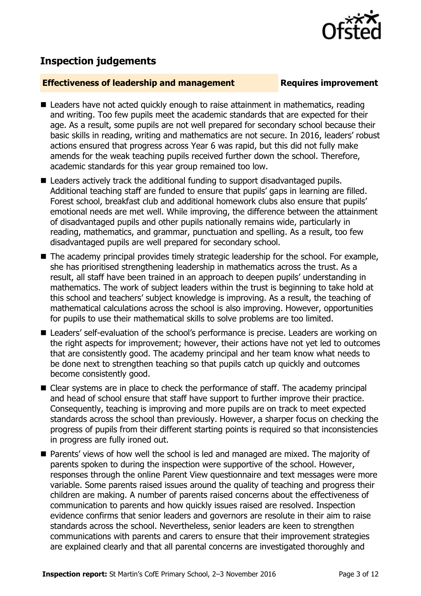

## **Inspection judgements**

### **Effectiveness of leadership and management Requires improvement**

- Leaders have not acted quickly enough to raise attainment in mathematics, reading and writing. Too few pupils meet the academic standards that are expected for their age. As a result, some pupils are not well prepared for secondary school because their basic skills in reading, writing and mathematics are not secure. In 2016, leaders' robust actions ensured that progress across Year 6 was rapid, but this did not fully make amends for the weak teaching pupils received further down the school. Therefore, academic standards for this year group remained too low.
- Leaders actively track the additional funding to support disadvantaged pupils. Additional teaching staff are funded to ensure that pupils' gaps in learning are filled. Forest school, breakfast club and additional homework clubs also ensure that pupils' emotional needs are met well. While improving, the difference between the attainment of disadvantaged pupils and other pupils nationally remains wide, particularly in reading, mathematics, and grammar, punctuation and spelling. As a result, too few disadvantaged pupils are well prepared for secondary school.
- The academy principal provides timely strategic leadership for the school. For example, she has prioritised strengthening leadership in mathematics across the trust. As a result, all staff have been trained in an approach to deepen pupils' understanding in mathematics. The work of subject leaders within the trust is beginning to take hold at this school and teachers' subject knowledge is improving. As a result, the teaching of mathematical calculations across the school is also improving. However, opportunities for pupils to use their mathematical skills to solve problems are too limited.
- Leaders' self-evaluation of the school's performance is precise. Leaders are working on the right aspects for improvement; however, their actions have not yet led to outcomes that are consistently good. The academy principal and her team know what needs to be done next to strengthen teaching so that pupils catch up quickly and outcomes become consistently good.
- Clear systems are in place to check the performance of staff. The academy principal and head of school ensure that staff have support to further improve their practice. Consequently, teaching is improving and more pupils are on track to meet expected standards across the school than previously. However, a sharper focus on checking the progress of pupils from their different starting points is required so that inconsistencies in progress are fully ironed out.
- **Parents' views of how well the school is led and managed are mixed. The majority of** parents spoken to during the inspection were supportive of the school. However, responses through the online Parent View questionnaire and text messages were more variable. Some parents raised issues around the quality of teaching and progress their children are making. A number of parents raised concerns about the effectiveness of communication to parents and how quickly issues raised are resolved. Inspection evidence confirms that senior leaders and governors are resolute in their aim to raise standards across the school. Nevertheless, senior leaders are keen to strengthen communications with parents and carers to ensure that their improvement strategies are explained clearly and that all parental concerns are investigated thoroughly and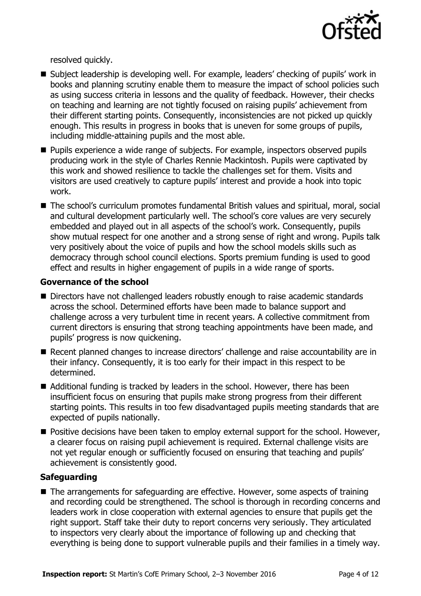

resolved quickly.

- Subject leadership is developing well. For example, leaders' checking of pupils' work in books and planning scrutiny enable them to measure the impact of school policies such as using success criteria in lessons and the quality of feedback. However, their checks on teaching and learning are not tightly focused on raising pupils' achievement from their different starting points. Consequently, inconsistencies are not picked up quickly enough. This results in progress in books that is uneven for some groups of pupils, including middle-attaining pupils and the most able.
- **Pupils experience a wide range of subjects. For example, inspectors observed pupils** producing work in the style of Charles Rennie Mackintosh. Pupils were captivated by this work and showed resilience to tackle the challenges set for them. Visits and visitors are used creatively to capture pupils' interest and provide a hook into topic work.
- The school's curriculum promotes fundamental British values and spiritual, moral, social and cultural development particularly well. The school's core values are very securely embedded and played out in all aspects of the school's work. Consequently, pupils show mutual respect for one another and a strong sense of right and wrong. Pupils talk very positively about the voice of pupils and how the school models skills such as democracy through school council elections. Sports premium funding is used to good effect and results in higher engagement of pupils in a wide range of sports.

### **Governance of the school**

- Directors have not challenged leaders robustly enough to raise academic standards across the school. Determined efforts have been made to balance support and challenge across a very turbulent time in recent years. A collective commitment from current directors is ensuring that strong teaching appointments have been made, and pupils' progress is now quickening.
- Recent planned changes to increase directors' challenge and raise accountability are in their infancy. Consequently, it is too early for their impact in this respect to be determined.
- Additional funding is tracked by leaders in the school. However, there has been insufficient focus on ensuring that pupils make strong progress from their different starting points. This results in too few disadvantaged pupils meeting standards that are expected of pupils nationally.
- **Positive decisions have been taken to employ external support for the school. However,** a clearer focus on raising pupil achievement is required. External challenge visits are not yet regular enough or sufficiently focused on ensuring that teaching and pupils' achievement is consistently good.

### **Safeguarding**

■ The arrangements for safeguarding are effective. However, some aspects of training and recording could be strengthened. The school is thorough in recording concerns and leaders work in close cooperation with external agencies to ensure that pupils get the right support. Staff take their duty to report concerns very seriously. They articulated to inspectors very clearly about the importance of following up and checking that everything is being done to support vulnerable pupils and their families in a timely way.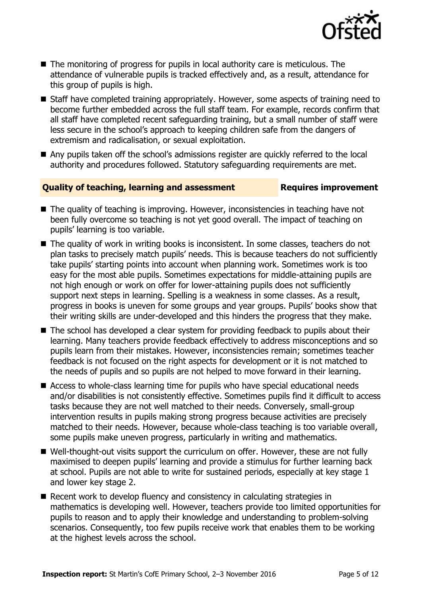

- $\blacksquare$  The monitoring of progress for pupils in local authority care is meticulous. The attendance of vulnerable pupils is tracked effectively and, as a result, attendance for this group of pupils is high.
- Staff have completed training appropriately. However, some aspects of training need to become further embedded across the full staff team. For example, records confirm that all staff have completed recent safeguarding training, but a small number of staff were less secure in the school's approach to keeping children safe from the dangers of extremism and radicalisation, or sexual exploitation.
- Any pupils taken off the school's admissions register are quickly referred to the local authority and procedures followed. Statutory safeguarding requirements are met.

### **Quality of teaching, learning and assessment France Requires improvement**

- The quality of teaching is improving. However, inconsistencies in teaching have not been fully overcome so teaching is not yet good overall. The impact of teaching on pupils' learning is too variable.
- The quality of work in writing books is inconsistent. In some classes, teachers do not plan tasks to precisely match pupils' needs. This is because teachers do not sufficiently take pupils' starting points into account when planning work. Sometimes work is too easy for the most able pupils. Sometimes expectations for middle-attaining pupils are not high enough or work on offer for lower-attaining pupils does not sufficiently support next steps in learning. Spelling is a weakness in some classes. As a result, progress in books is uneven for some groups and year groups. Pupils' books show that their writing skills are under-developed and this hinders the progress that they make.
- The school has developed a clear system for providing feedback to pupils about their learning. Many teachers provide feedback effectively to address misconceptions and so pupils learn from their mistakes. However, inconsistencies remain; sometimes teacher feedback is not focused on the right aspects for development or it is not matched to the needs of pupils and so pupils are not helped to move forward in their learning.
- Access to whole-class learning time for pupils who have special educational needs and/or disabilities is not consistently effective. Sometimes pupils find it difficult to access tasks because they are not well matched to their needs. Conversely, small-group intervention results in pupils making strong progress because activities are precisely matched to their needs. However, because whole-class teaching is too variable overall, some pupils make uneven progress, particularly in writing and mathematics.
- Well-thought-out visits support the curriculum on offer. However, these are not fully maximised to deepen pupils' learning and provide a stimulus for further learning back at school. Pupils are not able to write for sustained periods, especially at key stage 1 and lower key stage 2.
- Recent work to develop fluency and consistency in calculating strategies in mathematics is developing well. However, teachers provide too limited opportunities for pupils to reason and to apply their knowledge and understanding to problem-solving scenarios. Consequently, too few pupils receive work that enables them to be working at the highest levels across the school.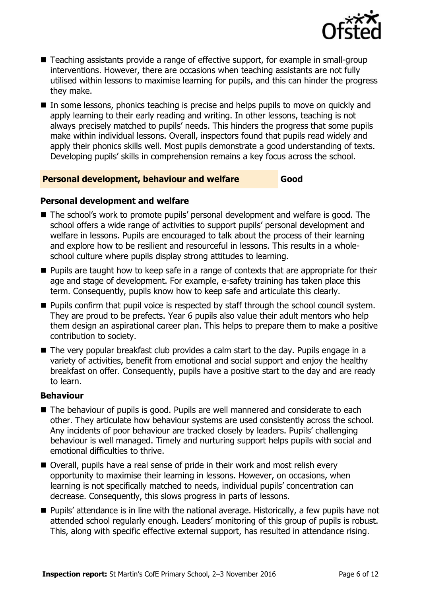

- Teaching assistants provide a range of effective support, for example in small-group interventions. However, there are occasions when teaching assistants are not fully utilised within lessons to maximise learning for pupils, and this can hinder the progress they make.
- In some lessons, phonics teaching is precise and helps pupils to move on quickly and apply learning to their early reading and writing. In other lessons, teaching is not always precisely matched to pupils' needs. This hinders the progress that some pupils make within individual lessons. Overall, inspectors found that pupils read widely and apply their phonics skills well. Most pupils demonstrate a good understanding of texts. Developing pupils' skills in comprehension remains a key focus across the school.

### **Personal development, behaviour and welfare Good**

### **Personal development and welfare**

- The school's work to promote pupils' personal development and welfare is good. The school offers a wide range of activities to support pupils' personal development and welfare in lessons. Pupils are encouraged to talk about the process of their learning and explore how to be resilient and resourceful in lessons. This results in a wholeschool culture where pupils display strong attitudes to learning.
- **Pupils are taught how to keep safe in a range of contexts that are appropriate for their** age and stage of development. For example, e-safety training has taken place this term. Consequently, pupils know how to keep safe and articulate this clearly.
- **Pupils confirm that pupil voice is respected by staff through the school council system.** They are proud to be prefects. Year 6 pupils also value their adult mentors who help them design an aspirational career plan. This helps to prepare them to make a positive contribution to society.
- The very popular breakfast club provides a calm start to the day. Pupils engage in a variety of activities, benefit from emotional and social support and enjoy the healthy breakfast on offer. Consequently, pupils have a positive start to the day and are ready to learn.

### **Behaviour**

- The behaviour of pupils is good. Pupils are well mannered and considerate to each other. They articulate how behaviour systems are used consistently across the school. Any incidents of poor behaviour are tracked closely by leaders. Pupils' challenging behaviour is well managed. Timely and nurturing support helps pupils with social and emotional difficulties to thrive.
- Overall, pupils have a real sense of pride in their work and most relish every opportunity to maximise their learning in lessons. However, on occasions, when learning is not specifically matched to needs, individual pupils' concentration can decrease. Consequently, this slows progress in parts of lessons.
- **Pupils'** attendance is in line with the national average. Historically, a few pupils have not attended school regularly enough. Leaders' monitoring of this group of pupils is robust. This, along with specific effective external support, has resulted in attendance rising.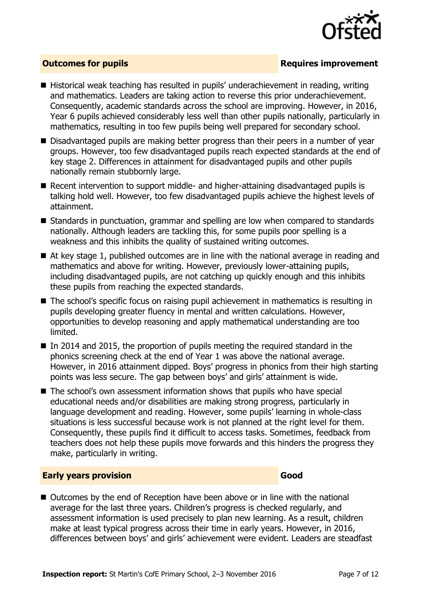

### **Outcomes for pupils Requires improvement**

- Historical weak teaching has resulted in pupils' underachievement in reading, writing and mathematics. Leaders are taking action to reverse this prior underachievement. Consequently, academic standards across the school are improving. However, in 2016, Year 6 pupils achieved considerably less well than other pupils nationally, particularly in mathematics, resulting in too few pupils being well prepared for secondary school.
- Disadvantaged pupils are making better progress than their peers in a number of year groups. However, too few disadvantaged pupils reach expected standards at the end of key stage 2. Differences in attainment for disadvantaged pupils and other pupils nationally remain stubbornly large.
- Recent intervention to support middle- and higher-attaining disadvantaged pupils is talking hold well. However, too few disadvantaged pupils achieve the highest levels of attainment.
- Standards in punctuation, grammar and spelling are low when compared to standards nationally. Although leaders are tackling this, for some pupils poor spelling is a weakness and this inhibits the quality of sustained writing outcomes.
- At key stage 1, published outcomes are in line with the national average in reading and mathematics and above for writing. However, previously lower-attaining pupils, including disadvantaged pupils, are not catching up quickly enough and this inhibits these pupils from reaching the expected standards.
- The school's specific focus on raising pupil achievement in mathematics is resulting in pupils developing greater fluency in mental and written calculations. However, opportunities to develop reasoning and apply mathematical understanding are too limited.
- In 2014 and 2015, the proportion of pupils meeting the required standard in the phonics screening check at the end of Year 1 was above the national average. However, in 2016 attainment dipped. Boys' progress in phonics from their high starting points was less secure. The gap between boys' and girls' attainment is wide.
- The school's own assessment information shows that pupils who have special educational needs and/or disabilities are making strong progress, particularly in language development and reading. However, some pupils' learning in whole-class situations is less successful because work is not planned at the right level for them. Consequently, these pupils find it difficult to access tasks. Sometimes, feedback from teachers does not help these pupils move forwards and this hinders the progress they make, particularly in writing.

### **Early years provision Good Good**

■ Outcomes by the end of Reception have been above or in line with the national average for the last three years. Children's progress is checked regularly, and assessment information is used precisely to plan new learning. As a result, children make at least typical progress across their time in early years. However, in 2016, differences between boys' and girls' achievement were evident. Leaders are steadfast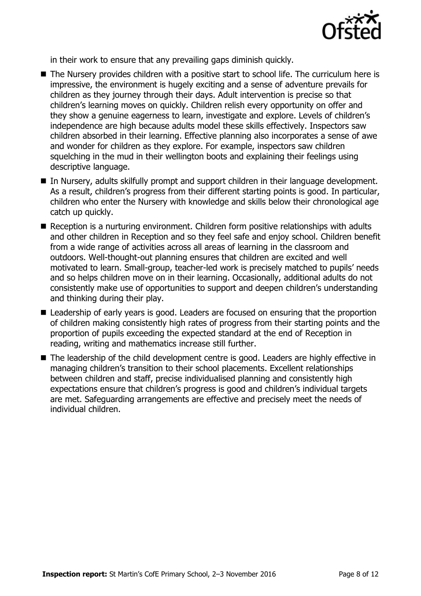

in their work to ensure that any prevailing gaps diminish quickly.

- The Nursery provides children with a positive start to school life. The curriculum here is impressive, the environment is hugely exciting and a sense of adventure prevails for children as they journey through their days. Adult intervention is precise so that children's learning moves on quickly. Children relish every opportunity on offer and they show a genuine eagerness to learn, investigate and explore. Levels of children's independence are high because adults model these skills effectively. Inspectors saw children absorbed in their learning. Effective planning also incorporates a sense of awe and wonder for children as they explore. For example, inspectors saw children squelching in the mud in their wellington boots and explaining their feelings using descriptive language.
- In Nursery, adults skilfully prompt and support children in their language development. As a result, children's progress from their different starting points is good. In particular, children who enter the Nursery with knowledge and skills below their chronological age catch up quickly.
- Reception is a nurturing environment. Children form positive relationships with adults and other children in Reception and so they feel safe and enjoy school. Children benefit from a wide range of activities across all areas of learning in the classroom and outdoors. Well-thought-out planning ensures that children are excited and well motivated to learn. Small-group, teacher-led work is precisely matched to pupils' needs and so helps children move on in their learning. Occasionally, additional adults do not consistently make use of opportunities to support and deepen children's understanding and thinking during their play.
- Leadership of early years is good. Leaders are focused on ensuring that the proportion of children making consistently high rates of progress from their starting points and the proportion of pupils exceeding the expected standard at the end of Reception in reading, writing and mathematics increase still further.
- The leadership of the child development centre is good. Leaders are highly effective in managing children's transition to their school placements. Excellent relationships between children and staff, precise individualised planning and consistently high expectations ensure that children's progress is good and children's individual targets are met. Safeguarding arrangements are effective and precisely meet the needs of individual children.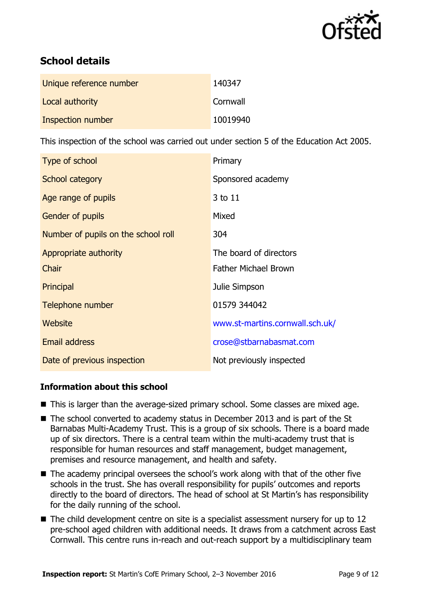

# **School details**

| Unique reference number | 140347   |
|-------------------------|----------|
| Local authority         | Cornwall |
| Inspection number       | 10019940 |

This inspection of the school was carried out under section 5 of the Education Act 2005.

| Type of school                      | Primary                         |
|-------------------------------------|---------------------------------|
| School category                     | Sponsored academy               |
| Age range of pupils                 | 3 to 11                         |
| <b>Gender of pupils</b>             | Mixed                           |
| Number of pupils on the school roll | 304                             |
| Appropriate authority               | The board of directors          |
| Chair                               | <b>Father Michael Brown</b>     |
| Principal                           | Julie Simpson                   |
| Telephone number                    | 01579 344042                    |
| Website                             | www.st-martins.cornwall.sch.uk/ |
| <b>Email address</b>                | crose@stbarnabasmat.com         |
| Date of previous inspection         | Not previously inspected        |

### **Information about this school**

- This is larger than the average-sized primary school. Some classes are mixed age.
- The school converted to academy status in December 2013 and is part of the St Barnabas Multi-Academy Trust. This is a group of six schools. There is a board made up of six directors. There is a central team within the multi-academy trust that is responsible for human resources and staff management, budget management, premises and resource management, and health and safety.
- The academy principal oversees the school's work along with that of the other five schools in the trust. She has overall responsibility for pupils' outcomes and reports directly to the board of directors. The head of school at St Martin's has responsibility for the daily running of the school.
- The child development centre on site is a specialist assessment nursery for up to 12 pre-school aged children with additional needs. It draws from a catchment across East Cornwall. This centre runs in-reach and out-reach support by a multidisciplinary team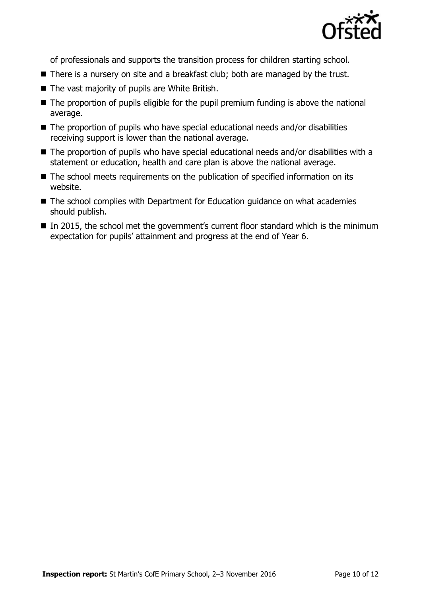

of professionals and supports the transition process for children starting school.

- There is a nursery on site and a breakfast club; both are managed by the trust.
- The vast majority of pupils are White British.
- The proportion of pupils eligible for the pupil premium funding is above the national average.
- The proportion of pupils who have special educational needs and/or disabilities receiving support is lower than the national average.
- The proportion of pupils who have special educational needs and/or disabilities with a statement or education, health and care plan is above the national average.
- The school meets requirements on the publication of specified information on its website.
- The school complies with Department for Education guidance on what academies should publish.
- In 2015, the school met the government's current floor standard which is the minimum expectation for pupils' attainment and progress at the end of Year 6.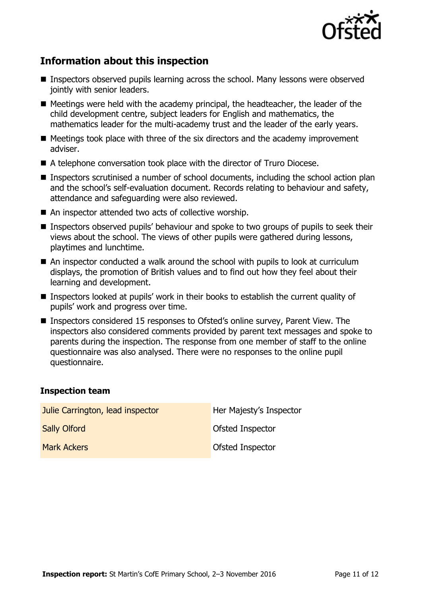

# **Information about this inspection**

- Inspectors observed pupils learning across the school. Many lessons were observed jointly with senior leaders.
- Meetings were held with the academy principal, the headteacher, the leader of the child development centre, subject leaders for English and mathematics, the mathematics leader for the multi-academy trust and the leader of the early years.
- $\blacksquare$  Meetings took place with three of the six directors and the academy improvement adviser.
- A telephone conversation took place with the director of Truro Diocese.
- Inspectors scrutinised a number of school documents, including the school action plan and the school's self-evaluation document. Records relating to behaviour and safety, attendance and safeguarding were also reviewed.
- An inspector attended two acts of collective worship.
- **Inspectors observed pupils' behaviour and spoke to two groups of pupils to seek their** views about the school. The views of other pupils were gathered during lessons, playtimes and lunchtime.
- An inspector conducted a walk around the school with pupils to look at curriculum displays, the promotion of British values and to find out how they feel about their learning and development.
- Inspectors looked at pupils' work in their books to establish the current quality of pupils' work and progress over time.
- Inspectors considered 15 responses to Ofsted's online survey, Parent View. The inspectors also considered comments provided by parent text messages and spoke to parents during the inspection. The response from one member of staff to the online questionnaire was also analysed. There were no responses to the online pupil questionnaire.

### **Inspection team**

| Julie Carrington, lead inspector | Her Majesty's Inspector |
|----------------------------------|-------------------------|
| <b>Sally Olford</b>              | Ofsted Inspector        |
| <b>Mark Ackers</b>               | Ofsted Inspector        |